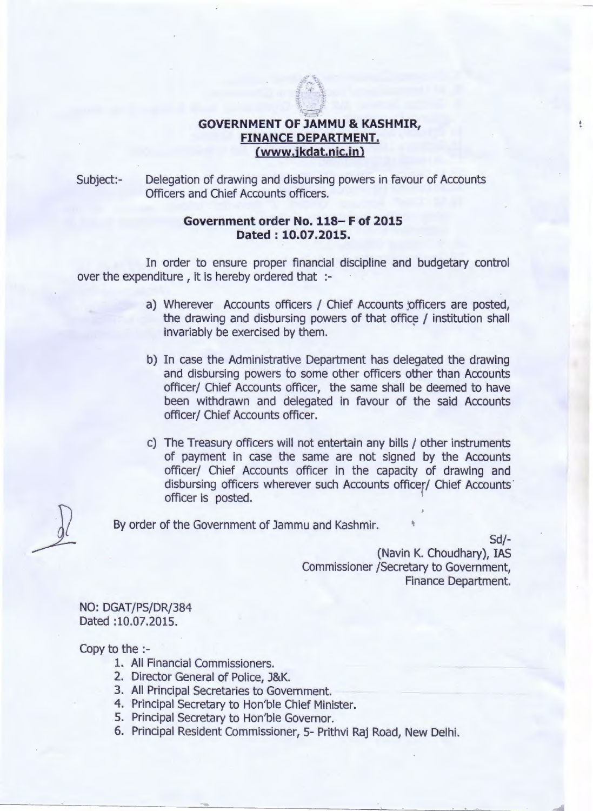## **GOVERNMENT OF JAMMU & KASHMIR, FINANCE DEPARTMENT. (www.jkdat.nic.in)**

*.:~ .•~-o£t,*  $*$  : :j:. ':r *i.* ..'r  $-1$ 

Subject:- Delegation of drawing and disbursing powers in favour of Accounts Officers and Chief Accounts officers.

## **Government order No. 118- F of 2015 Dated: 10.07.2015.**

In order to ensure proper financial discipline and budgetary control over the expenditure, it is hereby ordered that :-

- a) Wherever Accounts officers / Chief Accounts officers are posted, the drawing and disbursing powers of that office *j* institution shall invariably be exercised by them.
- b) In case the Administrative Department has delegated the drawing and disbursing powers to some other officers other than Accounts officer/ Chief Accounts officer, the same shall be deemed to have been withdrawn and delegated in favour of the said Accounts officer/ Chief Accounts officer.
- c) The Treasury officers will not entertain any bills *j* other instruments of payment in case the same are not signed by the Accounts officerj Chief Accounts officer in the capacity of drawing and disbursing officers wherever such Accounts officer/ Chief Accounts' officer is posted.

By order of the Government of Jammu and Kashmir.

*Sdj-* (Navin K. Choudhary), IAS Commissioner /Secretary to Government, Finance Department.

NO: DGAT/PS/DR/384 Dated :10.07.2015.

Copy to the :-

- 1. All Financial Commissioners.
- 2. Director General of Police, J&K.
- 3. All Principal Secretaries to Government.
- 4. Principal Secretary to Hon'ble Chief Minister.
- 5. Principal Secretary to Hon'ble Governor.
- 6. Principal Resident Commissioner, 5- Prithvi Raj Road, New Delhi.